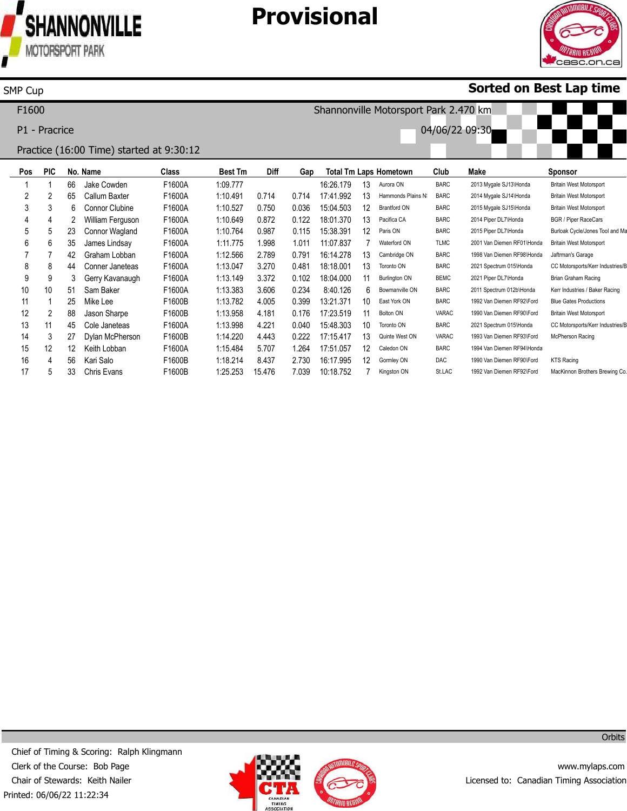

SMP Cup

James Lindsay Graham Lobban Conner Janeteas Gerry Kavanaugh Sam Baker Mike Lee Jason Sharpe Cole Janeteas Dylan McPherson Keith Lobban Kari Salo Chris Evans

F1600A F1600A F1600A F1600A F1600A F1600B F1600B F1600A F1600B F1600A F1600B F1600B 1:11.775 1:12.566 1:13.047 1:13.149 1:13.383 1:13.782 1:13.958 1:13.998 1:14.220 1:15.484 1:18.214 1:25.253

1.998 2.789 3.270 3.372 3.606 4.005 4.181 4.221 4.443 5.707 8.437 15.476

# **Provisional**



Britain West Motorsport Jaftrman's Garage

KTS Racing

CC Motorsports/Kerr Industries/B Brian Graham Racing Kerr Industries / Baker Racing Blue Gates Productions Britain West Motorsport CC Motorsports/Kerr Industries/E McPherson Racing

MacKinnon Brothers Brewing Co.

### **Sorted on Best Lap time**

**Pos** 1 2 3 4 5 **PIC** 1 2 3 4 5 **No. Name** 66 65 6 2 23 Jake Cowden Callum Baxter Connor Clubine William Ferguson Connor Wagland **Class** F1600A F1600A F1600A F1600A F1600A **Best Tm** 1:09.777 1:10.491 1:10.527 1:10.649 1:10.764 **Diff** 0.714 0.750 0.872 0.987 **Gap** 0.714 0.036 0.122 0.115 **Total Tm Laps Hometown** 16:26.179 17:41.992 15:04.503 18:01.370 15:38.391 13 13 12 13 12 Aurora ON Hammonds Plains NS Brantford ON Pacifica CA Paris ON **Club** BARC BARC BARC BARC BARC **Make** 2013 Mygale SJ13\Honda 2014 Mygale SJ14\Honda 2015 Mygale SJ15\Honda 2014 Piper DL7\Honda 2015 Piper DL7\Honda **Sponsor** Britain West Motorsport Britain West Motorsport Britain West Motorsport BGR / Piper RaceCars Burloak Cycle/Jones Tool and Ma F1600 P1 - Pracrice Practice (16:00 Time) started at 9:30:12 Shannonville Motorsport Park 2.470 km 04/06/22 09:30

> 1.011 0.791 0.481 0.102 0.234 0.399 0.176 0.040 0.222 1.264 2.730 7.039

11:07.837 16:14.278 18:18.001 18:04.000 8:40.126 13:21.371 17:23.519 15:48.303 17:15.417 17:51.057 16:17.995 10:18.752

Waterford ON Cambridge ON Toronto ON Burlington ON Bowmanville ON East York ON Bolton ON Toronto ON Quinte West ON Caledon ON Gormley ON Kingston ON

TLMC BARC BARC BEMC BARC BARC VARAC BARC VARAC BARC DAC St.LAC 2001 Van Diemen RF01\Honda 1998 Van Diemen RF98\Honda 2021 Spectrum 015\Honda 2021 Piper DL7\Honda 2011 Spectrum 012b\Honda 1992 Van Diemen RF92\Ford 1990 Van Diemen RF90\Ford 2021 Spectrum 015\Honda 1993 Van Diemen RF93\Ford 1994 Van Diemen RF94\Honda 1990 Van Diemen RF90\Ford 1992 Van Diemen RF92\Ford

Printed: 06/06/22 11:22:34 Chief of Timing & Scoring: Ralph Klingmann Clerk of the Course: Bob Page Chair of Stewards: Keith Nailer



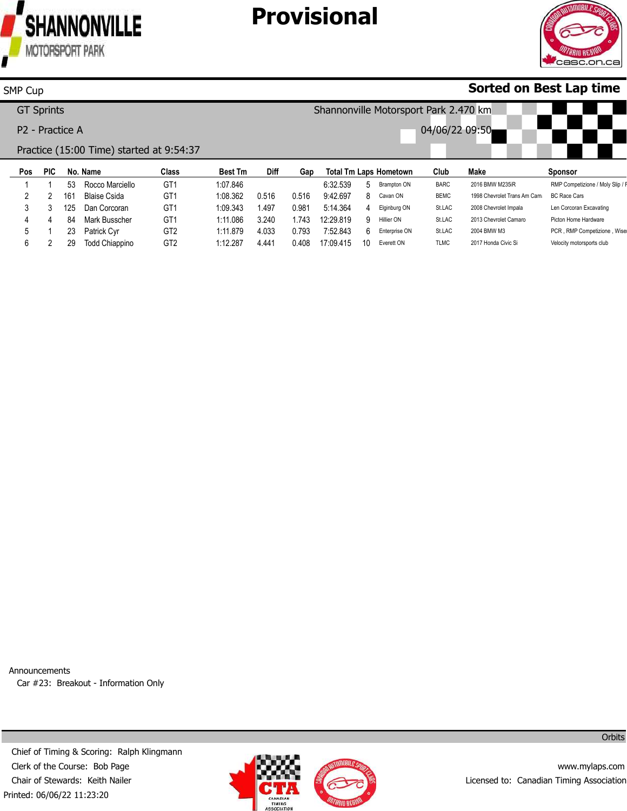

# **Provisional**



### **Sorted on Best Lap time**

|     | <b>GT Sprints</b> |                             |                                          |                |             |       |           |    | Shannonville Motorsport Park 2.470 km |                |                             |                                  |
|-----|-------------------|-----------------------------|------------------------------------------|----------------|-------------|-------|-----------|----|---------------------------------------|----------------|-----------------------------|----------------------------------|
|     |                   |                             |                                          |                |             |       |           |    |                                       |                |                             |                                  |
|     |                   | P <sub>2</sub> - Practice A |                                          |                |             |       |           |    |                                       | 04/06/22 09:50 |                             |                                  |
|     |                   |                             | Practice (15:00 Time) started at 9:54:37 |                |             |       |           |    |                                       |                |                             |                                  |
| Pos | <b>PIC</b>        | No. Name                    | Class                                    | <b>Best Tm</b> | <b>Diff</b> | Gap   |           |    | <b>Total Tm Laps Hometown</b>         | Club           | Make                        | <b>Sponsor</b>                   |
|     |                   | 53                          | GT <sub>1</sub><br>Rocco Marciello       | 1:07.846       |             |       | 6:32.539  | 5. | <b>Brampton ON</b>                    | <b>BARC</b>    | 2016 BMW M235iR             | RMP Competizione / Moly Slip / F |
| 2   | 2                 | 161<br>Blaise Csida         | GT <sub>1</sub>                          | 1:08.362       | 0.516       | 0.516 | 9:42.697  | 8  | Cavan ON                              | <b>BEMC</b>    | 1998 Chevrolet Trans Am Cam | <b>BC Race Cars</b>              |
|     |                   |                             |                                          |                |             |       |           |    |                                       |                |                             |                                  |
| 3   | 3                 | 125                         | GT <sub>1</sub><br>Dan Corcoran          | 1:09.343       | .497        | 0.981 | 5:14.364  | 4  | Elginburg ON                          | St.LAC         | 2008 Chevrolet Impala       | Len Corcoran Excavating          |
| 4   | Δ                 | 84                          | GT <sub>1</sub><br>Mark Busscher         | 1:11.086       | 3.240       | 1.743 | 12:29.819 | 9  | Hillier ON                            | St.LAC         | 2013 Chevrolet Camaro       | Picton Home Hardware             |
| 5   |                   | 23<br>Patrick Cyr           | GT <sub>2</sub>                          | 1:11.879       | 4.033       | 0.793 | 7:52.843  | հ․ | Enterprise ON                         | St.LAC         | 2004 BMW M3                 | PCR, RMP Competizione, Wise      |

Announcements Car #23: Breakout - Information Only

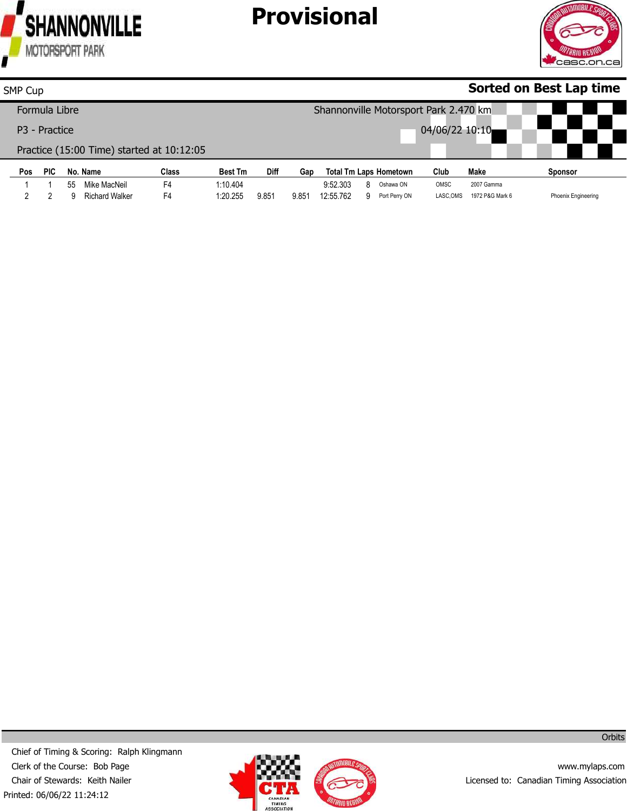

2

9 Richard Walker

F4

1:20.255

9.851

# **Provisional**



Phoenix Engineering

#### **Pos** 1 **PIC** 1 **No. Name** 55 Mike MacNeil **Class** F4 **Best Tm** 1:10.404 **Diff Gap Total Tm Laps Hometown** 9:52.303 8 Oshawa ON **Club** OMSC **Make** 2007 Gamma **Sponsor Sorted on Best Lap time** SMP Cup Formula Libre P3 - Practice Practice (15:00 Time) started at 10:12:05 Shannonville Motorsport Park 2.470 km 04/06/22 10:10

9.851 12:55.762

9 Port Perry ON

LASC,OMS 1972 P&G Mark 6

Printed: 06/06/22 11:24:12 Chief of Timing & Scoring: Ralph Klingmann Clerk of the Course: Bob Page Chair of Stewards: Keith Nailer



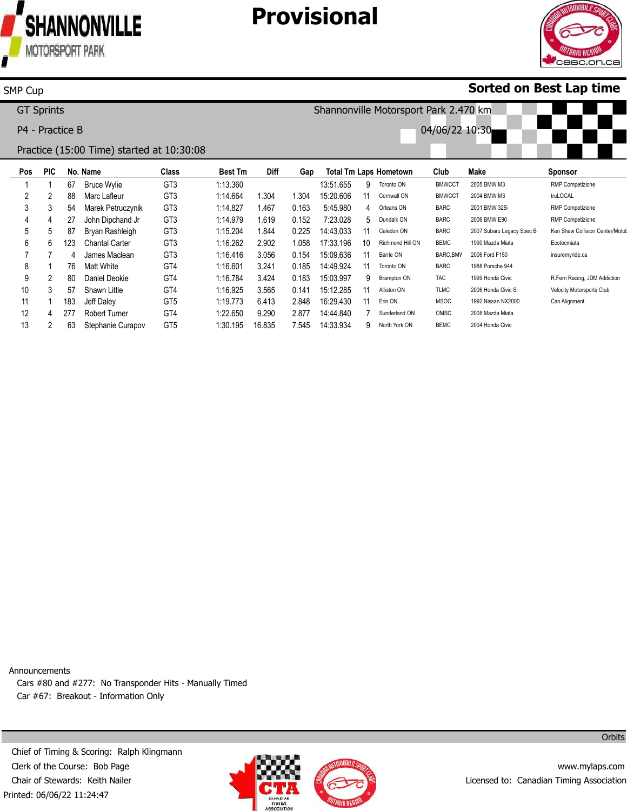

SMP Cup

183 277 63

57 Shawn Little

Jeff Daley Robert Turner Stephanie Curapov

Chantal Carter James Maclean Matt White Daniel Deokie

GT3 GT3 GT4 GT4 GT4 GT5 GT4 GT5

1:16.262 1:16.416 1:16.601 1:16.784 1:16.925 1:19.773 1:22.650 1:30.195

2.902 3.056 3.241 3.424 3.565 6.413 9.290 16.835

# **Provisional**



### **Sorted on Best Lap time**

Ecotecmiata insuremyride.ca

R.Ferri Racing, JDM Addiction Velocity Motorsports Club Can Alignment

**Pos** 1 2 3 4 5 **PIC** 1 2 3 4 5 **No. Name** 67 88 54 27 87 Bruce Wylie Marc Lafleur Marek Petruczynik John Dipchand Jr Bryan Rashleigh **Class** GT3 GT3 GT3 GT3 GT3 **Best Tm** 1:13.360 1:14.664 1:14.827 1:14.979 1:15.204 **Diff** 1.304 1.467 1.619 1.844 **Gap** 1.304 0.163 0.152 0.225 **Total Tm Laps Hometown** 13:51.655 15:20.606 5:45.980 7:23.028 14:43.033 9 11 4 5 11 Toronto ON Cornwall ON Orleans ON Dundalk ON Caledon ON **Club** BMWCCT **BMWCCT** BARC BARC BARC **Make** 2005 BMW M3 2004 BMW M3 2001 BMW 325i 2006 BMW E90 2007 Subaru Legacy Spec B **Sponsor** RMP Competizione truLOCAL RMP Competizione RMP Competizione Ken Shaw Collision Center/Motol GT Sprints P4 - Practice B Practice (15:00 Time) started at 10:30:08 Shannonville Motorsport Park 2.470 km 04/06/22 10:30

> 1.058 0.154 0.185 0.183 0.141 2.848 2.877 7.545

17:33.196 15:09.636 14:49.924 15:03.997 15:12.285 16:29.430 14:44.840 14:33.934

Richmond Hill ON Barrie ON Toronto ON Brampton ON Alliston ON Erin ON Sunderland ON North York ON

BEMC BARC, BMV BARC TAC TLMC MSOC OMSC BEMC

1990 Mazda Miata 2006 Ford F150 1988 Porsche 944 1999 Honda Civic 2006 Honda Civic Si 1992 Nissan NX2000 2008 Mazda Miata 2004 Honda Civic

Announcements Cars #80 and #277: No Transponder Hits - Manually Timed Car #67: Breakout - Information Only



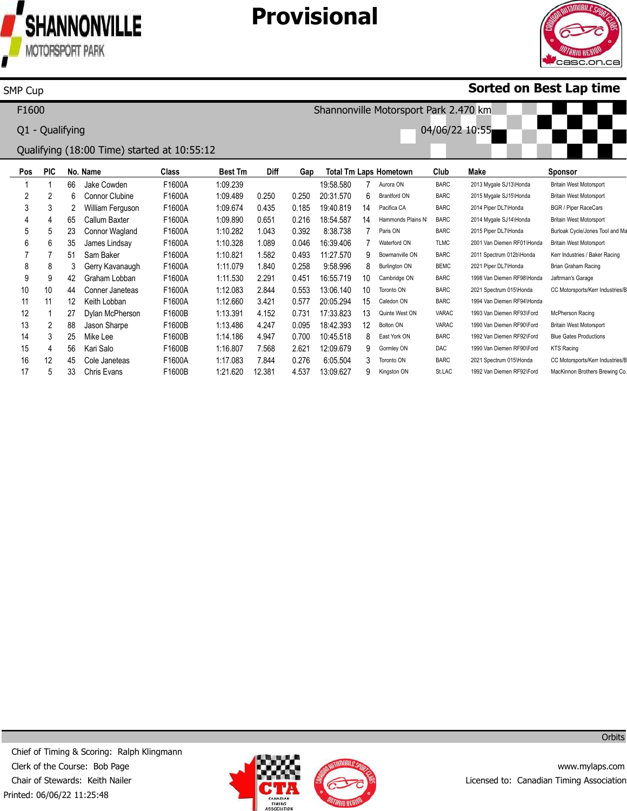

SMP Cup

Gerry Kavanaugh Graham Lobban Conner Janeteas Keith Lobban Dylan McPherson Jason Sharpe Mike Lee Kari Salo Cole Janeteas Chris Evans

F1600A F1600A F1600A F1600A F1600B F1600B F1600B F1600B F1600A F1600B 1:11.079 1:11.530 1:12.083 1:12.660 1:13.391 1:13.486 1:14.186 1:16.807 1:17.083 1:21.620

1.840 2.291 2.844 3.421 4.152 4.247 4.947 7.568 7.844 12.381

# **Provisional**



Brian Graham Racing Jaftrman's Garage CC Motorsports/Kerr Industries/E

McPherson Racing Britain West Motorsport Blue Gates Productions KTS Racing

CC Motorsports/Kerr Industries/E MacKinnon Brothers Brewing Co.

### **Sorted on Best Lap time**

**Pos** 1 2 3 4 5 6 7 **PIC** 1 2 3 4 5 6 7 **No. Name** 66 6 2 65 23 35 51 Jake Cowden Connor Clubine William Ferguson Callum Baxter Connor Wagland James Lindsay Sam Baker **Class** F1600A F1600A F1600A F1600A F1600A F1600A F1600A **Best Tm** 1:09.239 1:09.489 1:09.674 1:09.890 1:10.282 1:10.328 1:10.821 **Diff** 0.250 0.435 0.651 1.043 1.089 1.582 **Gap** 0.250 0.185 0.216 0.392 0.046 0.493 **Total Tm Laps Hometown** 19:58.580 20:31.570 19:40.819 18:54.587 8:38.738 16:39.406 11:27.570 7 6 14 14 7 7 9 Aurora ON Brantford ON Pacifica CA Hammonds Plains NS Paris ON Waterford ON Bowmanville ON **Club** BARC BARC BARC BARC BARC TLMC BARC **Make** 2013 Mygale SJ13\Honda 2015 Mygale SJ15\Honda 2014 Piper DL7\Honda 2014 Mygale SJ14\Honda 2015 Piper DL7\Honda 2001 Van Diemen RF01\Honda 2011 Spectrum 012b\Honda **Sponsor** Britain West Motorsport Britain West Motorsport BGR / Piper RaceCars Britain West Motorsport Burloak Cycle/Jones Tool and Ma Britain West Motorsport Kerr Industries / Baker Racing F1600 Q1 - Qualifying Qualifying (18:00 Time) started at 10:55:12 Shannonville Motorsport Park 2.470 km 04/06/22 10:55

> 0.258 0.451 0.553 0.577 0.731 0.095 0.700 2.621 0.276 4.537

9:58.996 16:55.719 13:06.140 20:05.294 17:33.823 18:42.393 10:45.518 12:09.679 6:05.504 13:09.627

Burlington ON Cambridge ON Toronto ON Caledon ON Quinte West ON Bolton ON East York ON Gormley ON Toronto ON Kingston ON

BEMC BARC BARC BARC VARAC VARAC BARC DAC BARC St.LAC

2021 Piper DL7\Honda 1998 Van Diemen RF98\Honda 2021 Spectrum 015\Honda 1994 Van Diemen RF94\Honda 1993 Van Diemen RF93\Ford 1990 Van Diemen RF90\Ford 1992 Van Diemen RF92\Ford 1990 Van Diemen RF90\Ford 2021 Spectrum 015\Honda 1992 Van Diemen RF92\Ford

Printed: 06/06/22 11:25:48 Chief of Timing & Scoring: Ralph Klingmann Clerk of the Course: Bob Page Chair of Stewards: Keith Nailer



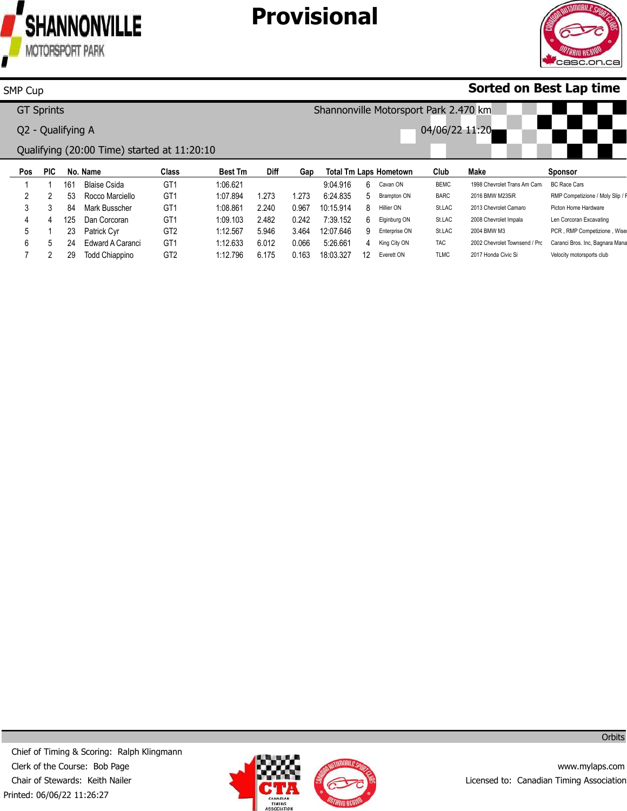

# **Provisional**



### **Sorted on Best Lap time**

|     | <b>GT Sprints</b> |     |                                             |                 |                | Shannonville Motorsport Park 2.470 km |       |           |    |                               |                |                               |                                  |  |
|-----|-------------------|-----|---------------------------------------------|-----------------|----------------|---------------------------------------|-------|-----------|----|-------------------------------|----------------|-------------------------------|----------------------------------|--|
|     | Q2 - Qualifying A |     |                                             |                 |                |                                       |       |           |    |                               | 04/06/22 11:20 |                               |                                  |  |
|     |                   |     | Qualifying (20:00 Time) started at 11:20:10 |                 |                |                                       |       |           |    |                               |                |                               |                                  |  |
| Pos | <b>PIC</b>        |     | No. Name                                    | Class           | <b>Best Tm</b> | <b>Diff</b>                           | Gap   |           |    | <b>Total Tm Laps Hometown</b> | Club           | Make                          | Sponsor                          |  |
|     |                   | 161 | <b>Blaise Csida</b>                         | GT <sub>1</sub> | 1:06.621       |                                       |       | 9:04.916  | 6. | Cavan ON                      | <b>BEMC</b>    | 1998 Chevrolet Trans Am Cam   | <b>BC Race Cars</b>              |  |
| 2   |                   | 53  | Rocco Marciello                             | GT <sub>1</sub> | 1:07.894       | 1.273                                 | 1.273 | 6:24.835  | 5  | Brampton ON                   | <b>BARC</b>    | 2016 BMW M235iR               | RMP Competizione / Moly Slip / F |  |
| 3   |                   | 84  | Mark Busscher                               | GT <sub>1</sub> | 1:08.861       | 2.240                                 | 0.967 | 10:15.914 | 8  | Hillier ON                    | St.LAC         | 2013 Chevrolet Camaro         | Picton Home Hardware             |  |
| 4   | 4                 | 125 | Dan Corcoran                                | GT <sub>1</sub> | 1:09.103       | 2.482                                 | 0.242 | 7:39.152  | 6. | Elginburg ON                  | St.LAC         | 2008 Chevrolet Impala         | Len Corcoran Excavating          |  |
| 5   |                   | 23  | Patrick Cyr                                 | GT <sub>2</sub> | 1:12.567       | 5.946                                 | 3.464 | 12:07.646 | 9  | Enterprise ON                 | St.LAC         | 2004 BMW M3                   | PCR, RMP Competizione, Wise      |  |
| 6   |                   | 24  | Edward A Caranci                            | GT <sub>1</sub> | 1:12.633       | 6.012                                 | 0.066 | 5:26.661  | 4  | King City ON                  | <b>TAC</b>     | 2002 Chevrolet Townsend / Prc | Caranci Bros. Inc, Bagnara Mana  |  |
|     |                   | 29  | <b>Todd Chiappino</b>                       | GT <sub>2</sub> | 1:12.796       | 6.175                                 | 0.163 | 18:03.327 | 12 | Everett ON                    | <b>TLMC</b>    | 2017 Honda Civic Si           | Velocity motorsports club        |  |



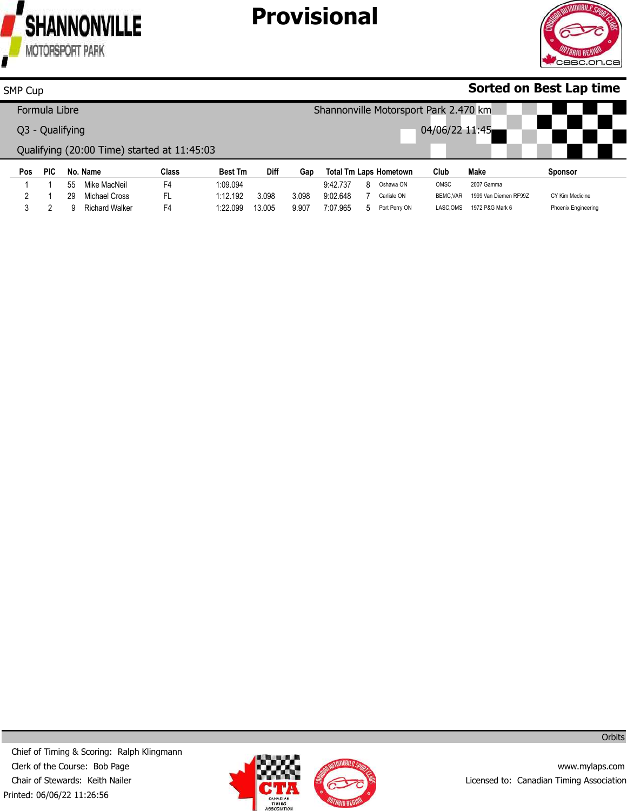

# **Provisional**



### **Sorted on Best Lap time**

|     | Formula Libre   |    |                                             |       |                |             |       |          |    | Shannonville Motorsport Park 2.470 km |                |                       |                 |
|-----|-----------------|----|---------------------------------------------|-------|----------------|-------------|-------|----------|----|---------------------------------------|----------------|-----------------------|-----------------|
|     | Q3 - Qualifying |    |                                             |       |                |             |       |          |    |                                       | 04/06/22 11:45 |                       |                 |
|     |                 |    | Qualifying (20:00 Time) started at 11:45:03 |       |                |             |       |          |    |                                       |                |                       |                 |
|     |                 |    |                                             |       |                |             |       |          |    |                                       |                |                       |                 |
| Pos | PIC             |    | No. Name                                    | Class | <b>Best Tm</b> | <b>Diff</b> | Gap   |          |    | <b>Total Tm Laps Hometown</b>         | Club           | Make                  | <b>Sponsor</b>  |
|     |                 | 55 | Mike MacNeil                                | F4    | 1:09.094       |             |       | 9:42.737 | 8. | Oshawa ON                             | OMSC           | 2007 Gamma            |                 |
|     |                 | 29 | Michael Cross                               | FL    | 1:12.192       | 3.098       | 3.098 | 9:02.648 |    | Carlisle ON                           | BEMC.VAR       | 1999 Van Diemen RF99Z | CY Kim Medicine |



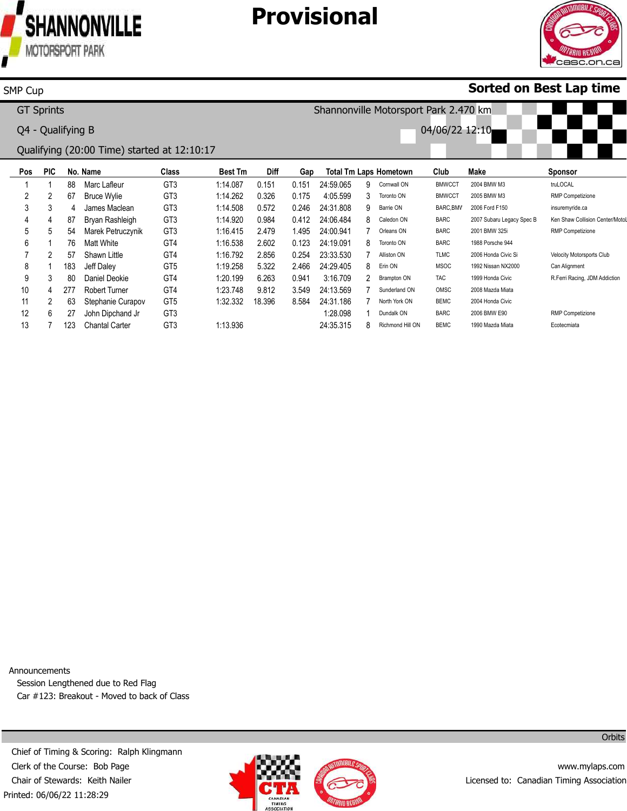

# **Provisional**



### **Sorted on Best Lap time**

| <b>GT Sprints</b> |            |     |                                             |                 |                |             |       | Shannonville Motorsport Park 2.470 km |    |                               |                |                           |                                 |  |  |
|-------------------|------------|-----|---------------------------------------------|-----------------|----------------|-------------|-------|---------------------------------------|----|-------------------------------|----------------|---------------------------|---------------------------------|--|--|
| Q4 - Qualifying B |            |     |                                             |                 |                |             |       |                                       |    |                               | 04/06/22 12:10 |                           |                                 |  |  |
|                   |            |     | Qualifying (20:00 Time) started at 12:10:17 |                 |                |             |       |                                       |    |                               |                |                           |                                 |  |  |
| Pos               | <b>PIC</b> |     | No. Name                                    | Class           | <b>Best Tm</b> | <b>Diff</b> | Gap   |                                       |    | <b>Total Tm Laps Hometown</b> | Club           | Make                      | <b>Sponsor</b>                  |  |  |
|                   |            | 88  | Marc Lafleur                                | GT <sub>3</sub> | 1:14.087       | 0.151       | 0.151 | 24:59.065                             | 9  | Cornwall ON                   | <b>BMWCCT</b>  | 2004 BMW M3               | truLOCAL                        |  |  |
|                   | 2          | 67  | <b>Bruce Wylie</b>                          | GT <sub>3</sub> | 1:14.262       | 0.326       | 0.175 | 4:05.599                              | 3  | Toronto ON                    | <b>BMWCCT</b>  | 2005 BMW M3               | <b>RMP Competizione</b>         |  |  |
| 3                 | 3          |     | James Maclean                               | GT <sub>3</sub> | 1:14.508       | 0.572       | 0.246 | 24:31.808                             | 9  | Barrie ON                     | BARC, BMV      | 2006 Ford F150            | insuremyride.ca                 |  |  |
| 4                 | 4          | 87  | Bryan Rashleigh                             | GT <sub>3</sub> | 1:14.920       | 0.984       | 0.412 | 24:06.484                             | 8. | Caledon ON                    | <b>BARC</b>    | 2007 Subaru Legacy Spec B | Ken Shaw Collision Center/Motol |  |  |
| 5                 | 5          | 54  | Marek Petruczynik                           | GT <sub>3</sub> | 1:16.415       | 2.479       | .495  | 24:00.941                             |    | Orleans ON                    | <b>BARC</b>    | 2001 BMW 325i             | <b>RMP Competizione</b>         |  |  |
| 6                 |            | 76  | Matt White                                  | GT4             | 1:16.538       | 2.602       | 0.123 | 24:19.091                             | 8. | Toronto ON                    | <b>BARC</b>    | 1988 Porsche 944          |                                 |  |  |
|                   |            | 57  | Shawn Little                                | GT4             | 1:16.792       | 2.856       | 0.254 | 23:33.530                             |    | Alliston ON                   | <b>TLMC</b>    | 2006 Honda Civic Si       | Velocity Motorsports Club       |  |  |
| 8                 |            | 183 | Jeff Daley                                  | GT <sub>5</sub> | 1:19.258       | 5.322       | 2.466 | 24:29.405                             | 8  | Erin ON                       | <b>MSOC</b>    | 1992 Nissan NX2000        | Can Alignment                   |  |  |
| 9                 |            | 80  | Daniel Deokie                               | GT4             | 1:20.199       | 6.263       | 0.941 | 3:16.709                              |    | Brampton ON                   | <b>TAC</b>     | 1999 Honda Civic          | R.Ferri Racing, JDM Addiction   |  |  |

9 10 11 12 13 3 4 277 Robert Turner 2 6 7 80 63 Stephanie Curapov 27 123 Chantal Carter Daniel Deokie John Dipchand Jr GT4 GT4 GT5 GT3 GT3 1:20.199 1:23.748 1:32.332 1:13.936 6.263 9.812 18.396 0.941 3.549 24:13.569 8.584 24:31.186 3:16.709 1:28.098 24:35.315 2 7 Sunderland ON 7 North York ON 1 8 Richmond Hill ON Brampton ON Dundalk ON TAC OMSC BEMC BARC BEMC 1999 Honda Civic 2008 Mazda Miata 2004 Honda Civic 2006 BMW E90 1990 Mazda Miata RMP Competizione Ecotecmiata

Announcements

Session Lengthened due to Red Flag Car #123: Breakout - Moved to back of Class

Printed: 06/06/22 11:28:29 Chief of Timing & Scoring: Ralph Klingmann Clerk of the Course: Bob Page Chair of Stewards: Keith Nailer



www.mylaps.com Licensed to: Canadian Timing Association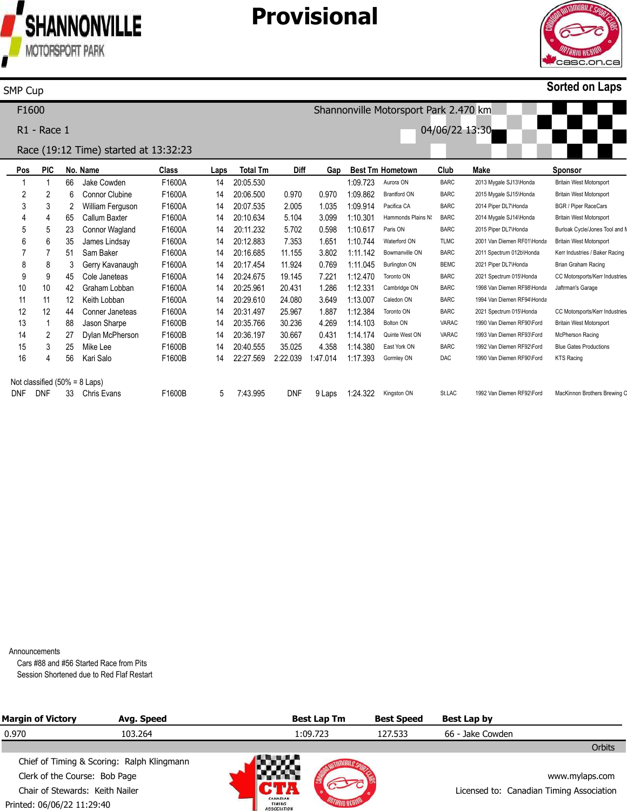

### **Provisional**



#### **Sorted on Laps**

**Pos** 1 2 3 4 5 6 7 8 9 10 11 12 13 14 15 16 Not classified (50% = 8 Laps) DNF **PIC** 1 2 3 4 5 6 7 8 9 10 11 12 1 2 3 4 DNF **No. Name** 66 6  $\mathcal{P}$ 65 23 35 51 3 45 42 12 44 88 27 25 56 33 Chris Evans Jake Cowden Connor Clubine William Ferguson Callum Baxter Connor Wagland James Lindsay Sam Baker Gerry Kavanaugh Cole Janeteas Graham Lobban Keith Lobban Conner Janeteas Jason Sharpe Dylan McPherson Mike Lee Kari Salo **Class** F1600A F1600A F1600A F1600A F1600A F1600A F1600A F1600A F1600A F1600A F1600A F1600A F1600B F1600B F1600B F1600B F1600B **Laps** 14 14 14 14 14 14 14 14 14 14 14 14 14 14 14 14 5 **Total Tm** 20:05.530 20:06.500 20:07.535 20:10.634 20:11.232 20:12.883 20:16.685 20:17.454 20:24.675 20:25.961 20:29.610 20:31.497 20:35.766 20:36.197 20:40.555 22:27.569 7:43.995 **Diff** 0.970 2.005 5.104 5.702 7.353 11.155 11.924 19.145 20.431 24.080 25.967 30.236 30.667 35.025 2:22.039 DNF **Gap** 0.970 1.035 3.099 0.598 1.651 1:10.744 3.802 0.769 7.221 1.286 1:12.331 3.649 1.887 4.269 0.431 4.358 1:47.014 9 Laps 1:24.322 Kingston ON **Best Tm Hometown** 1:09.723 1:09.862 1:09.914 1:10.301 1:10.617 1:11.142 1:11.045 1:12.470 1:13.007 1:12.384 1:14.103 1:14.174 1:14.380 1:17.393 Aurora ON Brantford ON Pacifica CA Hammonds Plains NS Paris ON Waterford ON Bowmanville ON Burlington ON Toronto ON Cambridge ON Caledon ON Toronto ON Bolton ON Quinte West ON East York ON Gormley ON **Club** BARC BARC BARC BARC BARC TLMC BARC BEMC BARC BARC BARC BARC VARAC VARAC BARC DAC St.LAC **Make** 2013 Mygale SJ13\Honda 2015 Mygale SJ15\Honda 2014 Piper DL7\Honda 2014 Mygale SJ14\Honda 2015 Piper DL7\Honda 2001 Van Diemen RF01\Honda 2011 Spectrum 012b\Honda 2021 Piper DL7\Honda 2021 Spectrum 015\Honda 1998 Van Diemen RF98\Honda 1994 Van Diemen RF94\Honda 2021 Spectrum 015\Honda 1990 Van Diemen RF90\Ford 1993 Van Diemen RF93\Ford 1992 Van Diemen RF92\Ford 1990 Van Diemen RF90\Ford 1992 Van Diemen RF92\Ford **Sponsor** Britain West Motorsport Britain West Motorsport BGR / Piper RaceCars Britain West Motorsport Burloak Cycle/Jones Tool and I Britain West Motorsport Kerr Industries / Baker Racing Brian Graham Racing CC Motorsports/Kerr Industries Jaftrman's Garage CC Motorsports/Kerr Industries Britain West Motorsport McPherson Racing Blue Gates Productions KTS Racing MacKinnon Brothers Brewing C F1600 R1 - Race 1 Race (19:12 Time) started at 13:32:23 Shannonville Motorsport Park 2.470 km 04/06/22 13:30

Announcements

Cars #88 and #56 Started Race from Pits Session Shortened due to Red Flaf Restart

| <b>Margin of Victory</b>        | Avg. Speed                                 |                                          | <b>Best Lap Tm</b> | <b>Best Speed</b> | Best Lap by                              |  |
|---------------------------------|--------------------------------------------|------------------------------------------|--------------------|-------------------|------------------------------------------|--|
| 0.970                           | 103.264                                    |                                          | 1:09.723           | 127.533           | 66 - Jake Cowden                         |  |
|                                 |                                            |                                          |                    |                   | Orbits                                   |  |
|                                 | Chief of Timing & Scoring: Ralph Klingmann | a a se                                   |                    |                   |                                          |  |
| Clerk of the Course: Bob Page   |                                            |                                          |                    |                   | www.mylaps.com                           |  |
| Chair of Stewards: Keith Nailer |                                            |                                          |                    |                   | Licensed to: Canadian Timing Association |  |
| Printed: 06/06/22 11:29:40      |                                            | CANADIAN<br>TIMING<br><b>ASSOCIATION</b> |                    |                   |                                          |  |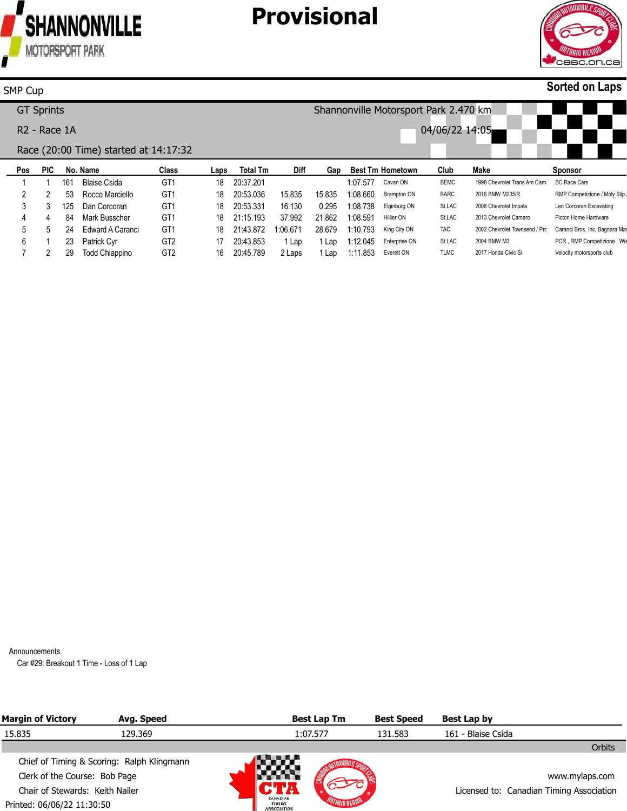



#### **Sorted on Laps**

#### **Pos** 1 2 3 4 5 6 7 **PIC** 1 2 3 4 5 1 2 **No. Name** 161 53 125 Dan Corcoran 84 Mark Busscher 24 Edward A Caranci 23 Patrick Cyr 29 Todd Chiappino Blaise Csida Rocco Marciello **Class** GT1 GT1 GT1 GT1 GT1 GT2 GT2 **Laps** 18 18 18 20:53.331 18 21:15.193 18 21:43.872 1:06.671 17 16 20:45.789 **Total Tm** 20:37.201 20:53.036 20:43.853 **Diff** 15.835 16.130 37.992 1 Lap 2 Laps **Gap Best Tm Hometown** 15.835 0.295 1:08.738 Elginburg ON 21.862 1:08.591 Hillier ON 28.679 1:10.793 1 Lap 1:12.045 Enterprise ON 1 Lap 1:11.853 Everett ON 1:07.577 1:08.660 Brampton ON Cavan ON King City ON **Club** BEMC BARC St.LAC St.LAC TAC St.LAC TLMC **Make** 1998 Chevrolet Trans Am Cama 2016 BMW M235iR 2008 Chevrolet Impala 2013 Chevrolet Camaro 2002 Chevrolet Townsend / Prc Caranci Bros. Inc, Bagnara Mar 2004 BMW M3 2017 Honda Civic Si **Sponsor** BC Race Cars RMP Competizione / Moly Slip Len Corcoran Excavating Picton Home Hardware PCR, RMP Competizione, Wis Velocity motorsports club SMP Cup GT Sprints R2 - Race 1A Race (20:00 Time) started at 14:17:32 Shannonville Motorsport Park 2.470 km 04/06/22 14:05

Announcements

Car #29: Breakout 1 Time - Loss of 1 Lap

| <b>Margin of Victory</b>        | Avg. Speed                                 |                                                 | <b>Best Lap Tm</b> | <b>Best Speed</b> | Best Lap by                              |        |
|---------------------------------|--------------------------------------------|-------------------------------------------------|--------------------|-------------------|------------------------------------------|--------|
| 15.835                          | 129.369                                    |                                                 | 1:07.577           | 131.583           | 161 - Blaise Csida                       |        |
|                                 |                                            |                                                 |                    |                   |                                          | Orbits |
|                                 | Chief of Timing & Scoring: Ralph Klingmann |                                                 | an an an A         |                   |                                          |        |
| Clerk of the Course: Bob Page   |                                            |                                                 |                    |                   | www.mylaps.com                           |        |
| Chair of Stewards: Keith Nailer |                                            |                                                 |                    |                   | Licensed to: Canadian Timing Association |        |
| Printed: 06/06/22 11:30:50      |                                            | CANADIAN<br><b>TIMING</b><br><b>ASSOCIATION</b> |                    |                   |                                          |        |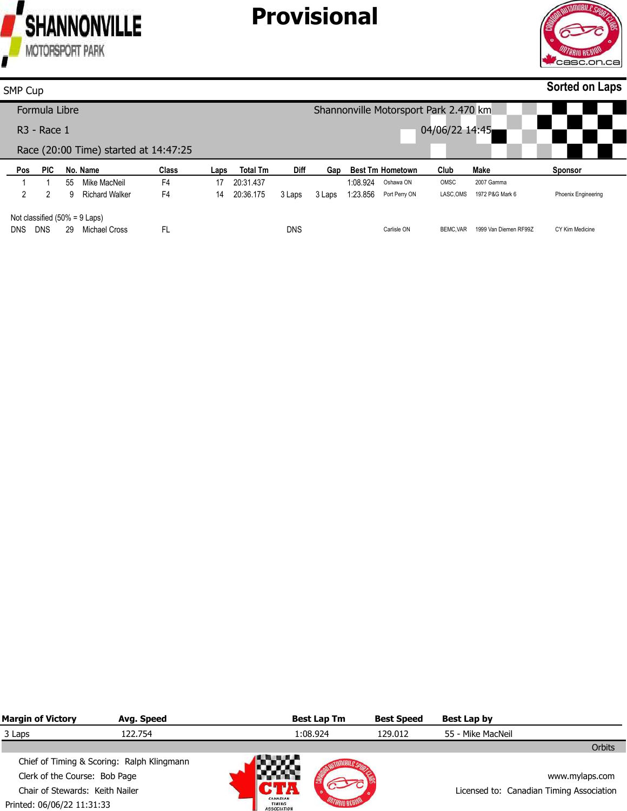

DNS DNS 29 Michael Cross

FL

# **Provisional**



CY Kim Medicine

| SMP Cup        |                                  |    |                                       |                |      |                 |        |        |          |                                       |                |                 | <b>Sorted on Laps</b> |
|----------------|----------------------------------|----|---------------------------------------|----------------|------|-----------------|--------|--------|----------|---------------------------------------|----------------|-----------------|-----------------------|
|                | Formula Libre                    |    |                                       |                |      |                 |        |        |          | Shannonville Motorsport Park 2.470 km |                |                 |                       |
|                | $R3$ - Race 1                    |    |                                       |                |      |                 |        |        |          |                                       | 04/06/22 14:45 |                 |                       |
|                |                                  |    | Race (20:00 Time) started at 14:47:25 |                |      |                 |        |        |          |                                       |                |                 |                       |
| Pos            | <b>PIC</b>                       |    | No. Name                              | <b>Class</b>   | Laps | <b>Total Tm</b> | Diff   | Gap    |          | <b>Best Tm Hometown</b>               | Club           | Make            | <b>Sponsor</b>        |
|                |                                  | 55 | Mike MacNeil                          | F4             | 17   | 20:31.437       |        |        | 1:08.924 | Oshawa ON                             | OMSC           | 2007 Gamma      |                       |
| $\overline{2}$ | 2                                | 9  | <b>Richard Walker</b>                 | F <sub>4</sub> | 14   | 20:36.175       | 3 Laps | 3 Laps | 1:23.856 | Port Perry ON                         | LASC, OMS      | 1972 P&G Mark 6 | Phoenix Engineering   |
|                | Not classified $(50\% = 9$ Laps) |    |                                       |                |      |                 |        |        |          |                                       |                |                 |                       |

Carlisle ON

BEMC, VAR 1999 Van Diemen RF99Z

DNS

| <b>Margin of Victory</b>        | Avg. Speed                                 |                                          | <b>Best Lap Tm</b> | <b>Best Speed</b> | Best Lap by                              |
|---------------------------------|--------------------------------------------|------------------------------------------|--------------------|-------------------|------------------------------------------|
| 3 Laps                          | 122.754                                    |                                          | 1:08.924           | 129.012           | 55 - Mike MacNeil                        |
|                                 |                                            |                                          |                    |                   | Orbits                                   |
|                                 | Chief of Timing & Scoring: Ralph Klingmann | <b>NWA</b>                               |                    |                   |                                          |
| Clerk of the Course: Bob Page   |                                            |                                          |                    |                   | www.mylaps.com                           |
| Chair of Stewards: Keith Nailer |                                            |                                          |                    |                   | Licensed to: Canadian Timing Association |
| Printed: 06/06/22 11:31:33      |                                            | CANADIAN<br>TIMING<br><b>ASSOCIATION</b> |                    |                   |                                          |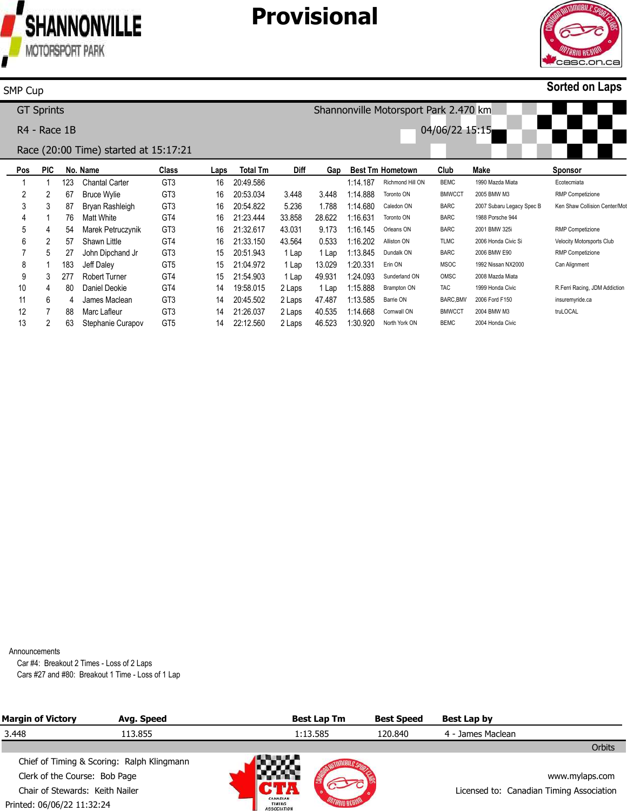



### **Sorted on Laps**

### SMP Cup

GT Sprints

R4 - Race 1B

Shannonville Motorsport Park 2.470 km 04/06/22 15:15



#### Race (20:00 Time) started at 15:17:21

| Pos               | <b>PIC</b> |     | No. Name             | Class           | Laps | <b>Total Tm</b> | Diff   | Gap    | <b>Best Tm Hometown</b> |                  | Club          | Make                      | Sponsor                       |
|-------------------|------------|-----|----------------------|-----------------|------|-----------------|--------|--------|-------------------------|------------------|---------------|---------------------------|-------------------------------|
|                   |            | 123 | Chantal Carter       | GT <sub>3</sub> | 16   | 20:49.586       |        |        | 1:14.187                | Richmond Hill ON | <b>BEMC</b>   | 1990 Mazda Miata          | Ecotecmiata                   |
|                   | 2          | 67  | <b>Bruce Wylie</b>   | GT <sub>3</sub> | 16   | 20:53.034       | 3.448  | 3.448  | 1:14.888                | Toronto ON       | <b>BMWCCT</b> | 2005 BMW M3               | <b>RMP Competizione</b>       |
|                   | 3          | 87  | Bryan Rashleigh      | GT <sub>3</sub> | 16   | 20:54.822       | 5.236  | 1.788  | 1:14.680                | Caledon ON       | <b>BARC</b>   | 2007 Subaru Legacy Spec B | Ken Shaw Collision Center/Mot |
| 4                 |            | 76. | Matt White           | GT4             | 16   | 21:23.444       | 33.858 | 28.622 | 1:16.631                | Toronto ON       | <b>BARC</b>   | 1988 Porsche 944          |                               |
| 5                 | 4          | 54  | Marek Petruczynik    | GT <sub>3</sub> | 16   | 21:32.617       | 43.031 | 9.173  | 1:16.145                | Orleans ON       | <b>BARC</b>   | 2001 BMW 325i             | <b>RMP</b> Competizione       |
| 6                 | 2          | 57  | Shawn Little         | GT4             | 16   | 21:33.150       | 43.564 | 0.533  | :16.202                 | Alliston ON      | <b>TLMC</b>   | 2006 Honda Civic Si       | Velocity Motorsports Club     |
|                   | 5          |     | John Dipchand Jr     | GT <sub>3</sub> | 15   | 20:51.943       | 1 Lap  | 1 Lap  | 1:13.845                | Dundalk ON       | <b>BARC</b>   | 2006 BMW E90              | <b>RMP</b> Competizione       |
| 8                 |            | 183 | Jeff Dalev           | GT <sub>5</sub> | 15   | 21:04.972       | 1 Lap  | 13.029 | 1:20.331                | Erin ON          | <b>MSOC</b>   | 1992 Nissan NX2000        | Can Alignment                 |
| 9                 | 3          | 277 | <b>Robert Turner</b> | GT4             | 15   | 21:54.903       | 1 Lap  | 49.931 | :24.093                 | Sunderland ON    | OMSC          | 2008 Mazda Miata          |                               |
| 10                | 4          | 80  | Daniel Deokie        | GT4             | 14   | 19:58.015       | 2 Laps | 1 Lap  | 1:15.888                | Brampton ON      | <b>TAC</b>    | 1999 Honda Civic          | R.Ferri Racing, JDM Addiction |
| 11                | 6          | 4   | James Maclean        | GT <sub>3</sub> | 14   | 20:45.502       | 2 Laps | 47.487 | 1:13.585                | Barrie ON        | BARC, BMV     | 2006 Ford F150            | insuremyride.ca               |
| $12 \overline{ }$ |            | 88  | Marc Lafleur         | GT <sub>3</sub> | 14   | 21:26.037       | 2 Laps | 40.535 | 1:14.668                | Cornwall ON      | <b>BMWCCT</b> | 2004 BMW M3               | truLOCAL                      |
| 13                | 2          | 63  | Stephanie Curapov    | GT <sub>5</sub> | 14   | 22:12.560       | 2 Laps | 46.523 | 1:30.920                | North York ON    | <b>BEMC</b>   | 2004 Honda Civic          |                               |
|                   |            |     |                      |                 |      |                 |        |        |                         |                  |               |                           |                               |

Announcements

Car #4: Breakout 2 Times - Loss of 2 Laps Cars #27 and #80: Breakout 1 Time - Loss of 1 Lap

| <b>Margin of Victory</b>        | Avg. Speed                                 |                                                 | <b>Best Lap Tm</b> | <b>Best Speed</b> | Best Lap by                              |                |
|---------------------------------|--------------------------------------------|-------------------------------------------------|--------------------|-------------------|------------------------------------------|----------------|
| 3.448                           | 113.855                                    |                                                 | 1:13.585           | 120.840           | 4 - James Maclean                        |                |
|                                 |                                            |                                                 |                    |                   |                                          | <b>Orbits</b>  |
|                                 | Chief of Timing & Scoring: Ralph Klingmann |                                                 | ANG P              |                   |                                          |                |
| Clerk of the Course: Bob Page   |                                            |                                                 |                    |                   |                                          | www.mylaps.com |
| Chair of Stewards: Keith Nailer |                                            |                                                 |                    |                   | Licensed to: Canadian Timing Association |                |
| Printed: 06/06/22 11:32:24      |                                            | CANADIAN<br><b>TIMING</b><br><b>ASSOCIATION</b> |                    |                   |                                          |                |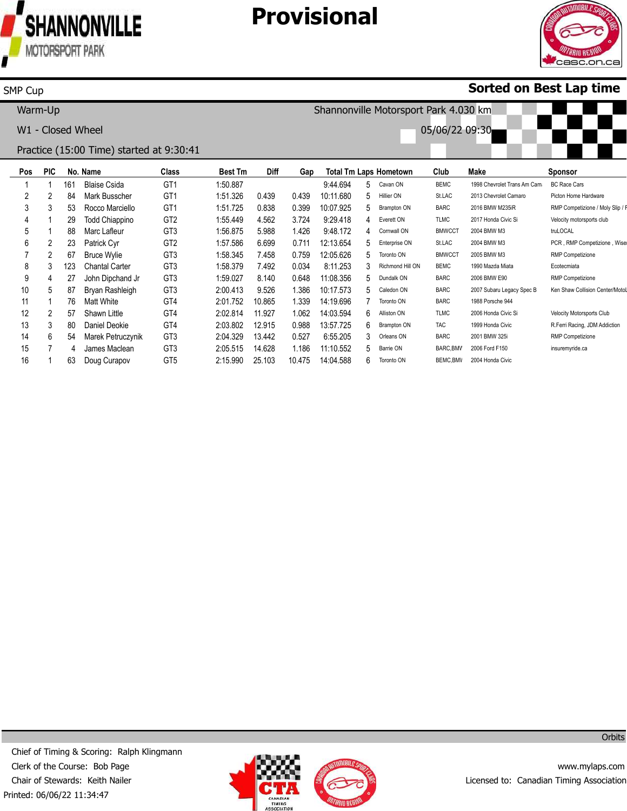

# **Provisional**



### **Sorted on Best Lap time**

| Warm-Up |            |     |                                          |                 |                |             |       |           |    | Shannonville Motorsport Park 4.030 km |                |                             |                                  |
|---------|------------|-----|------------------------------------------|-----------------|----------------|-------------|-------|-----------|----|---------------------------------------|----------------|-----------------------------|----------------------------------|
|         |            |     | W1 - Closed Wheel                        |                 |                |             |       |           |    |                                       | 05/06/22 09:30 |                             |                                  |
|         |            |     | Practice (15:00 Time) started at 9:30:41 |                 |                |             |       |           |    |                                       |                |                             |                                  |
| Pos     | <b>PIC</b> |     | No. Name                                 | Class           | <b>Best Tm</b> | <b>Diff</b> | Gap   |           |    | <b>Total Tm Laps Hometown</b>         | Club           | Make                        | Sponsor                          |
|         |            | 161 | <b>Blaise Csida</b>                      | GT <sub>1</sub> | 1:50.887       |             |       | 9:44.694  |    | 5 Cavan ON                            | <b>BEMC</b>    | 1998 Chevrolet Trans Am Cam | <b>BC Race Cars</b>              |
| 2       | 2          | 84  | Mark Busscher                            | GT1             | 1:51.326       | 0.439       | 0.439 | 10:11.680 |    | 5 Hillier ON                          | St.LAC         | 2013 Chevrolet Camaro       | Picton Home Hardware             |
| 3       | 3          | 53  | Rocco Marciello                          | GT <sub>1</sub> | 1:51.725       | 0.838       | 0.399 | 10:07.925 |    | 5 Brampton ON                         | <b>BARC</b>    | 2016 BMW M235iR             | RMP Competizione / Moly Slip / F |
| 4       |            | 29  | <b>Todd Chiappino</b>                    | GT <sub>2</sub> | 1:55.449       | 4.562       | 3.724 | 9:29.418  |    | 4 Everett ON                          | <b>TLMC</b>    | 2017 Honda Civic Si         | Velocity motorsports club        |
| 5       |            | 88  | Marc Lafleur                             | GT <sub>3</sub> | 1:56.875       | 5.988       | 1.426 | 9:48.172  |    | 4 Cornwall ON                         | <b>BMWCCT</b>  | 2004 BMW M3                 | truLOCAL                         |
| 6       | 2          | 23  | Patrick Cyr                              | GT <sub>2</sub> | 1:57.586       | 6.699       | 0.711 | 12:13.654 | 5. | Enterprise ON                         | St.LAC         | 2004 BMW M3                 | PCR, RMP Competizione, Wise      |
|         | ∩          | 67  | <b>Bruce Wylie</b>                       | <b>GT3</b>      | 1.58345        | 7 158       | N 750 | 12.05626  |    | 5 Toronto ON                          | <b>RMWCCT</b>  | 2005 BMW M3                 | RMP Competizione                 |

| ັ  | ∼   | $1$ union $\cup$ $\gamma$ | ິີ              |          |        |        | 14.IV.VV  |    |                    |               |                           |                                  |
|----|-----|---------------------------|-----------------|----------|--------|--------|-----------|----|--------------------|---------------|---------------------------|----------------------------------|
|    | 67  | <b>Bruce Wylie</b>        | GT <sub>3</sub> | 1:58.345 | .458   | 0.759  | 12:05.626 | 5. | Toronto ON         | <b>BMWCCT</b> | 2005 BMW M3               | <b>RMP Competizione</b>          |
|    | 123 | <b>Chantal Carter</b>     | GT <sub>3</sub> | 1:58.379 | 7.492  | 0.034  | 8:11.253  |    | Richmond Hill ON   | <b>BEMC</b>   | 1990 Mazda Miata          | Ecotecmiata                      |
|    | 27  | John Dipchand Jr          | GT <sub>3</sub> | 1:59.027 | 8.140  | ን.648  | 11:08.356 |    | 5 Dundalk ON       | <b>BARC</b>   | 2006 BMW E90              | <b>RMP Competizione</b>          |
| 10 | 87  | Bryan Rashleigh           | GT <sub>3</sub> | 2:00.413 | 9.526  | .386   | 10:17.573 | h  | Caledon ON         | <b>BARC</b>   | 2007 Subaru Legacy Spec B | Ken Shaw Collision Center/Motol  |
| 11 | 76  | Matt White                | GT4             | 2:01.752 | 10.865 | .339   | 14:19.696 |    | Toronto ON         | <b>BARC</b>   | 1988 Porsche 944          |                                  |
| 12 | 57  | Shawn Little              | GT4             | 2:02.814 | 11.927 | .062   | 14:03.594 | 6  | Alliston ON        | TLMC          | 2006 Honda Civic Si       | <b>Velocity Motorsports Club</b> |
| 13 | 80  | Daniel Deokie             | GT4             | 2:03.802 | 12.915 | 0.988  | 13:57.725 | 6. | <b>Brampton ON</b> | TAC           | 1999 Honda Civic          | R.Ferri Racing, JDM Addiction    |
| 14 | 54  | Marek Petruczynik         | GT <sub>3</sub> | 2:04.329 | 13.442 | 0.527  | 6:55.205  |    | Orleans ON         | <b>BARC</b>   | 2001 BMW 325i             | <b>RMP Competizione</b>          |
| 15 |     | James Maclean             | GT <sub>3</sub> | 2:05.515 | 14.628 | .186   | 11:10.552 | 5. | Barrie ON          | BARC.BMV      | 2006 Ford F150            | insuremyride.ca                  |
| 16 | 63  | Doug Curapov              | GT <sub>5</sub> | 2:15.990 | 25.103 | 10.475 | 14:04.588 | 6. | Toronto ON         | BEMC.BMV      | 2004 Honda Civic          |                                  |

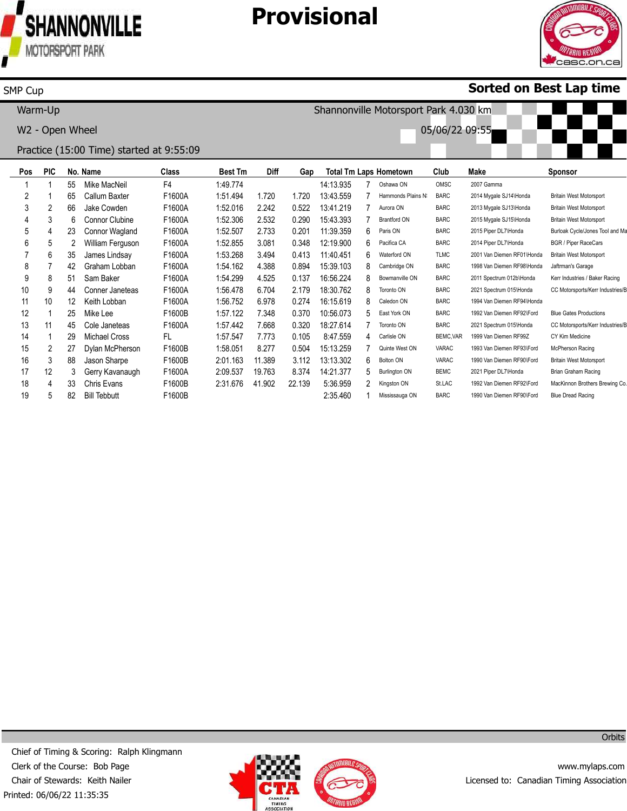

SMP Cup

James Lindsay Graham Lobban Sam Baker Conner Janeteas Keith Lobban Mike Lee Cole Janeteas Michael Cross Dylan McPherson Jason Sharpe Gerry Kavanaugh Chris Evans

F1600A F1600A F1600A F1600A F1600A F1600B F1600A FL F1600B F1600B F1600A F1600B F1600B 1:53.268 1:54.162 1:54.299 1:56.478 1:56.752 1:57.122 1:57.442 1:57.547 1:58.051 2:01.163 2:09.537 2:31.676

3.494 4.388 4.525 6.704 6.978 7.348 7.668 7.773 8.277 11.389 19.763 41.902

82 Bill Tebbutt

# **Provisional**



Britain West Motorsport Jaftrman's Garage Kerr Industries / Baker Racing CC Motorsports/Kerr Industries/E

Blue Gates Productions CC Motorsports/Kerr Industries/E

CY Kim Medicine McPherson Racing Britain West Motorsport Brian Graham Racing MacKinnon Brothers Brewing Co. Blue Dread Racing

### **Sorted on Best Lap time**

**Pos** 1 2 3 4 5 6 **PIC** 1 1 2 3 4 5 **No. Name** 55 65 66 6 23 2 Mike MacNeil Callum Baxter Jake Cowden Connor Clubine Connor Wagland William Ferguson **Class** F4 F1600A F1600A F1600A F1600A F1600A **Best Tm** 1:49.774 1:51.494 1:52.016 1:52.306 1:52.507 1:52.855 **Diff** 1.720 2.242 2.532 2.733 3.081 **Gap** 1.720 0.522 0.290 0.201 0.348 **Total Tm Laps Hometown** 14:13.935 13:43.559 13:41.219 15:43.393 11:39.359 12:19.900 7 7 7 7 6 6 Oshawa ON Hammonds Plains NS Aurora ON Brantford ON Paris ON Pacifica CA **Club** OMSC BARC BARC BARC BARC BARC **Make** 2007 Gamma 2014 Mygale SJ14\Honda 2013 Mygale SJ13\Honda 2015 Mygale SJ15\Honda 2015 Piper DL7\Honda 2014 Piper DL7\Honda **Sponsor** Britain West Motorsport Britain West Motorsport Britain West Motorsport Burloak Cycle/Jones Tool and Ma BGR / Piper RaceCars Warm-Up W2 - Open Wheel Practice (15:00 Time) started at 9:55:09 Shannonville Motorsport Park 4.030 km 05/06/22 09:55

> 0.413 0.894 0.137 2.179 0.274 0.370 0.320 0.105 0.504 3.112 8.374 22.139

11:40.451 15:39.103 16:56.224 18:30.762 16:15.619 10:56.073 18:27.614 8:47.559 15:13.259 13:13.302 14:21.377 5:36.959 2:35.460

Waterford ON Cambridge ON Bowmanville ON Toronto ON Caledon ON East York ON Toronto ON Carlisle ON Quinte West ON Bolton ON Burlington ON Kingston ON Mississauga ON TLMC BARC BARC BARC BARC BARC BARC **BEMC, VAR** VARAC VARAC BEMC St.LAC BARC

2001 Van Diemen RF01\Honda 1998 Van Diemen RF98\Honda 2011 Spectrum 012b\Honda 2021 Spectrum 015\Honda 1994 Van Diemen RF94\Honda 1992 Van Diemen RF92\Ford 2021 Spectrum 015\Honda 1999 Van Diemen RF99Z 1993 Van Diemen RF93\Ford 1990 Van Diemen RF90\Ford 2021 Piper DL7\Honda 1992 Van Diemen RF92\Ford 1990 Van Diemen RF90\Ford

Printed: 06/06/22 11:35:35 Chief of Timing & Scoring: Ralph Klingmann Clerk of the Course: Bob Page Chair of Stewards: Keith Nailer



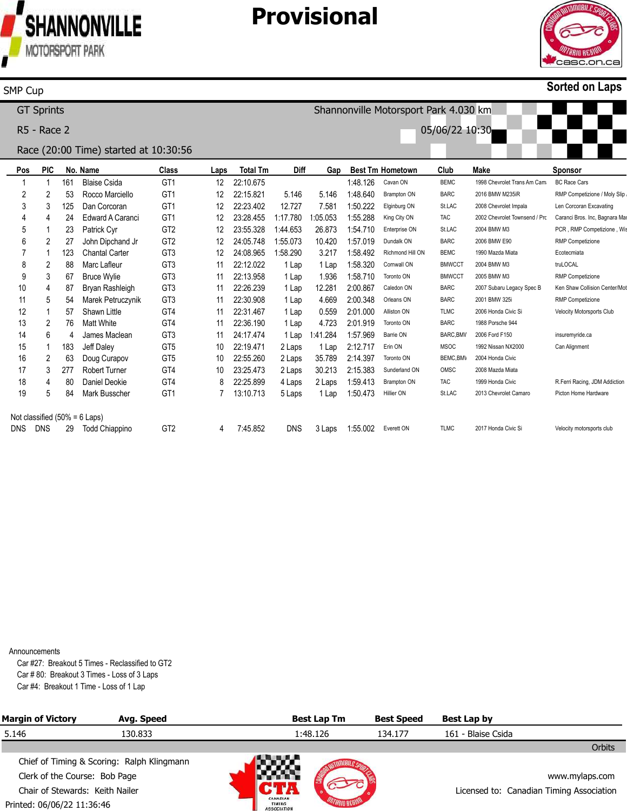

### **Provisional**



#### **Sorted on Laps**

**Pos** 1 2 3 4 5 6 7 8 9 10 11 12 13 14 15 16 17 18 19 Not classified (50% = 6 Laps) DNS DNS **PIC** 1 2 3 4 1 2 1 2 3 4 5 1 2 6 1 2 3 4 5 **No. Name** 161 53 125 24 23 27 123 88 67 87 54 57 76 4 183 63 277 80 84 29 Todd Chiappino Blaise Csida Rocco Marciello Dan Corcoran Edward A Caranci Patrick Cyr John Dipchand Jr Chantal Carter Marc Lafleur Bruce Wylie Bryan Rashleigh Marek Petruczynik Shawn Little Matt White James Maclean Jeff Daley Doug Curapov Robert Turner Daniel Deokie Mark Busscher **Class** GT1 GT1 GT1 GT1 GT2 GT2 GT3 GT3 GT3 GT3 GT3 GT4 GT4 GT3 GT5 GT5 GT4 GT4 GT1 GT2 **Laps** 12 12 12 12 12 12 12 11 11 11 11 11 11 11 10 10 10 8 7 4 **Total Tm** 22:10.675 22:15.821 22:23.402 23:28.455 23:55.328 24:05.748 24:08.965 22:12.022 22:13.958 22:26.239 22:30.908 22:31.467 22:36.190 24:17.474 22:19.471 22:55.260 23:25.473 22:25.899 13:10.713 7:45.852 **Diff** 5.146 12.727 1:17.780 1:44.653 1:55.073 1:58.290 1 Lap 1 Lap 1 Lap 1 Lap 1 Lap 1 Lap 1 Lap 1:41.284 2 Laps 2 Laps 2 Laps 4 Laps 5 Laps DNS **Gap** 5.146 7.581 1:05.053 26.873 10.420 3.217 1 Lap 1.936 12.281 4.669 0.559 4.723 1 Lap 35.789 30.213 2 Laps 1 Lap 3 Laps 1:55.002 Everett ON **Best Tm Hometown** 1:48.126 1:48.640 1:50.222 1:55.288 1:54.710 1:57.019 1:58.492 1:58.320 1:58.710 2:00.867 2:00.348 2:01.000 2:01.919 1:57.969 2:12.717 2:14.397 2:15.383 1:59.413 1:50.473 Cavan ON Brampton ON Elginburg ON King City ON Enterprise ON Dundalk ON Richmond Hill ON Cornwall ON Toronto ON Caledon ON Orleans ON Alliston ON Toronto ON Barrie ON Erin ON Toronto ON Sunderland ON Brampton ON Hillier ON **Club** BEMC BARC St.LAC TAC St.LAC BARC BEMC BMWCCT BMWCCT BARC BARC TLMC BARC BARC, BMV MSOC BEMC, BMV OMSC TAC St.LAC TLMC **Make** 1998 Chevrolet Trans Am Cama 2016 BMW M235iR 2008 Chevrolet Impala 2002 Chevrolet Townsend / Prc Caranci Bros. Inc, Bagnara Mar 2004 BMW M3 2006 BMW E90 1990 Mazda Miata 2004 BMW M3 2005 BMW M3 2007 Subaru Legacy Spec B 2001 BMW 325i 2006 Honda Civic Si 1988 Porsche 944 2006 Ford F150 1992 Nissan NX2000 2004 Honda Civic 2008 Mazda Miata 1999 Honda Civic 2013 Chevrolet Camaro 2017 Honda Civic Si **Sponsor** BC Race Cars RMP Competizione / Moly Slip Len Corcoran Excavating PCR, RMP Competizione, Wis RMP Competizione Ecotecmiata truLOCAL RMP Competizione Ken Shaw Collision Center/Mot RMP Competizione Velocity Motorsports Club insuremyride.ca Can Alignment R.Ferri Racing, JDM Addiction Picton Home Hardware Velocity motorsports club GT Sprints R5 - Race 2 Race (20:00 Time) started at 10:30:56 Shannonville Motorsport Park 4.030 km 05/06/22 10:30

Announcements

Car #27: Breakout 5 Times - Reclassified to GT2 Car # 80: Breakout 3 Times - Loss of 3 Laps Car #4: Breakout 1 Time - Loss of 1 Lap

| <b>Margin of Victory</b>        | Avg. Speed                                 |                                                 | <b>Best Lap Tm</b><br><b>Best Speed</b> |         | Best Lap by        |                                          |
|---------------------------------|--------------------------------------------|-------------------------------------------------|-----------------------------------------|---------|--------------------|------------------------------------------|
| 5.146                           | 130.833                                    | 1:48.126                                        |                                         | 134.177 | 161 - Blaise Csida |                                          |
|                                 |                                            |                                                 |                                         |         |                    | Orbits                                   |
|                                 | Chief of Timing & Scoring: Ralph Klingmann |                                                 |                                         |         |                    |                                          |
| Clerk of the Course: Bob Page   |                                            |                                                 |                                         |         |                    | www.mylaps.com                           |
| Chair of Stewards: Keith Nailer |                                            |                                                 |                                         |         |                    | Licensed to: Canadian Timing Association |
| Printed: 06/06/22 11:36:46      |                                            | CANADIAN<br><b>TIMING</b><br><b>ASSOCIATION</b> |                                         |         |                    |                                          |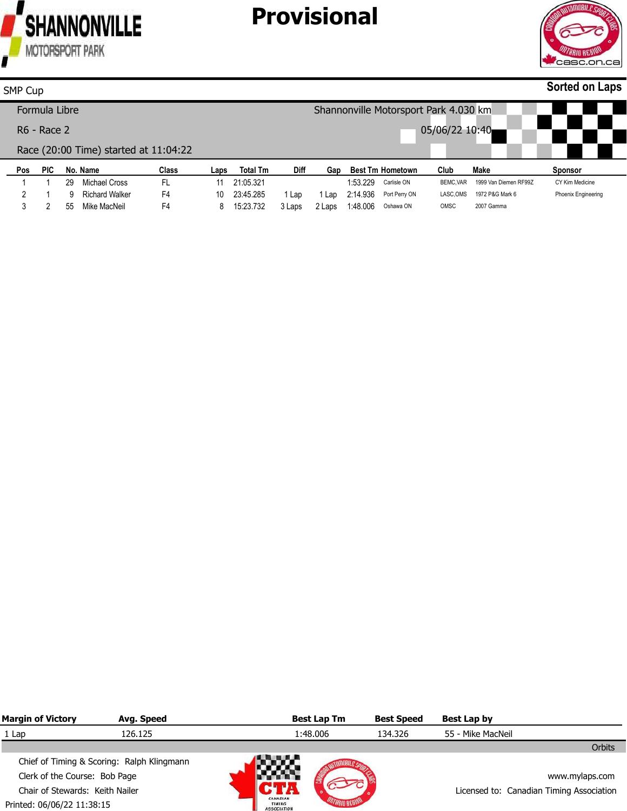



#### **Pos PIC No. Name Class Laps Total Tm Diff Gap Best Tm Hometown Club Make Sponsor Sorted on Laps** SMP Cup Formula Libre R6 - Race 2 Race (20:00 Time) started at 11:04:22 Shannonville Motorsport Park 4.030 km 05/06/22 10:40

| . | . |    | .              | ----- | ---- | .         | ----   | ---- |                 | ____________________ | ---- |                                | -------                    |
|---|---|----|----------------|-------|------|-----------|--------|------|-----------------|----------------------|------|--------------------------------|----------------------------|
|   |   | 29 | Michael Cross  |       |      | 21:05.321 |        |      | 1:53.229        | Carlisle ON          |      | BEMC.VAR 1999 Van Diemen RF99Z | CY Kim Medicine            |
|   |   | a  | Richard Walker | F4    | 10   | 23:45.285 | 1 Lap  |      | 1 Lap  2:14.936 | Port Perry ON        |      | LASC, OMS 1972 P&G Mark 6      | <b>Phoenix Engineering</b> |
|   |   | 55 | Mike MacNeil   | F4    |      | 15:23.732 | 3 Laps |      | 2 Laps 1:48.006 | Oshawa ON            | OMSC | 2007 Gamma                     |                            |

| <b>Margin of Victory</b>        | Avg. Speed                                 |                                          | <b>Best Lap Tm</b> | <b>Best Speed</b> | Best Lap by                              |
|---------------------------------|--------------------------------------------|------------------------------------------|--------------------|-------------------|------------------------------------------|
| 1 Lap                           | 126.125                                    | 1:48.006                                 |                    | 134.326           | 55 - Mike MacNeil                        |
|                                 |                                            |                                          |                    |                   | Orbits                                   |
|                                 | Chief of Timing & Scoring: Ralph Klingmann |                                          | Ali ya M           |                   |                                          |
| Clerk of the Course: Bob Page   |                                            |                                          |                    |                   | www.mylaps.com                           |
| Chair of Stewards: Keith Nailer |                                            |                                          |                    |                   | Licensed to: Canadian Timing Association |
| Printed: 06/06/22 11:38:15      |                                            | CANADIAN<br>TIMING<br><b>ASSOCIATION</b> |                    |                   |                                          |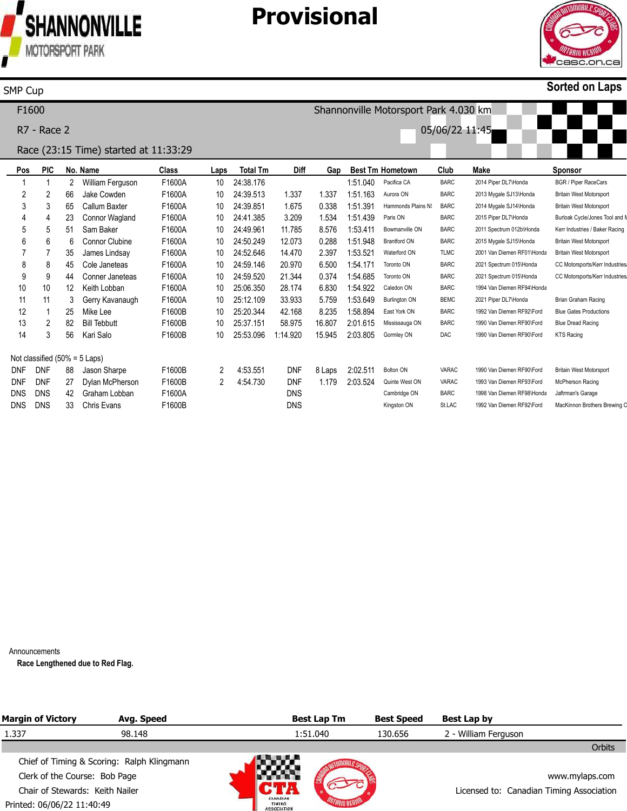

### **Provisional**



#### **Sorted on Laps**

**Pos** 1 2 3 4 5 6 7 8 9 10 11 12 13 14 Not classified (50% = 5 Laps) DNF DNF DNS **PIC** 1 2 3 4 5 6 7 8 9 10 11 1 2 3 DNF DNF DNS DNS **No. Name** 2 66 65 23 51 6 35 45 44 12 3 25 82 56 88 27 42 William Ferguson Jake Cowden Callum Baxter Connor Wagland Sam Baker Connor Clubine James Lindsay Cole Janeteas Conner Janeteas Keith Lobban Gerry Kavanaugh Mike Lee Bill Tebbutt Kari Salo Jason Sharpe Dylan McPherson Graham Lobban **Class** F1600A F1600A F1600A F1600A F1600A F1600A F1600A F1600A F1600A F1600A F1600A F1600B F1600B F1600B F1600B F1600B F1600A F1600B **Laps** 10 10 10 10 10 10 10 10 10 10 10 10 10 10 2 2 **Total Tm** 24:38.176 24:39.513 24:39.851 24:41.385 24:49.961 24:50.249 24:52.646 24:59.146 24:59.520 25:06.350 25:12.109 25:20.344 25:37.151 25:53.096 4:53.551 4:54.730 **Diff** 1.337 1.675 3.209 11.785 12.073 14.470 20.970 21.344 28.174 33.933 42.168 58.975 1:14.920 DNF DNF DNS DNS **Gap** 1.337 0.338 1.534 8.576 0.288 2.397 6.500 0.374 6.830 1:54.922 5.759 8.235 16.807 15.945 8 Laps 1.179 **Best Tm Hometown** 1:51.040 1:51.163 1:51.391 1:51.439 1:53.411 1:51.948 1:53.521 1:54.171 1:54.685 1:53.649 1:58.894 2:01.615 2:03.805 2:02.511 2:03.524 Pacifica CA Aurora ON Hammonds Plains N: Paris ON Bowmanville ON Brantford ON Waterford ON Toronto ON Toronto ON Caledon ON Burlington ON East York ON Mississauga ON Gormley ON Bolton ON Quinte West ON Cambridge ON Kingston ON **Club** BARC BARC BARC BARC BARC BARC TLMC BARC BARC BARC BEMC BARC BARC DAC VARAC VARAC BARC St.LAC **Make** 2014 Piper DL7\Honda 2013 Mygale SJ13\Honda 2014 Mygale SJ14\Honda 2015 Piper DL7\Honda 2011 Spectrum 012b\Honda 2015 Mygale SJ15\Honda 2001 Van Diemen RF01\Honda 2021 Spectrum 015\Honda 2021 Spectrum 015\Honda 1994 Van Diemen RF94\Honda 2021 Piper DL7\Honda 1992 Van Diemen RF92\Ford 1990 Van Diemen RF90\Ford 1990 Van Diemen RF90\Ford 1990 Van Diemen RF90\Ford 1993 Van Diemen RF93\Ford 1998 Van Diemen RF98\Honda 1992 Van Diemen RF92\Ford **Sponsor** BGR / Piper RaceCars Britain West Motorsport Britain West Motorsport Burloak Cycle/Jones Tool and I Kerr Industries / Baker Racing Britain West Motorsport Britain West Motorsport CC Motorsports/Kerr Industries CC Motorsports/Kerr Industries Brian Graham Racing Blue Gates Productions Blue Dread Racing KTS Racing Britain West Motorsport McPherson Racing Jaftrman's Garage MacKinnon Brothers Brewing C F1600 R7 - Race 2 Race (23:15 Time) started at 11:33:29 Shannonville Motorsport Park 4.030 km 05/06/22 11:45

Announcements

DNS

33

Chris Evans

**Race Lengthened due to Red Flag.**

| <b>Margin of Victory</b>        | Avg. Speed                                 |                                          | <b>Best Lap Tm</b> | <b>Best Speed</b> | Best Lap by                              |
|---------------------------------|--------------------------------------------|------------------------------------------|--------------------|-------------------|------------------------------------------|
| 1.337                           | 98.148                                     |                                          | 1:51.040           | 130.656           | 2 - William Ferguson                     |
|                                 |                                            |                                          |                    |                   | Orbits                                   |
|                                 | Chief of Timing & Scoring: Ralph Klingmann |                                          |                    |                   |                                          |
| Clerk of the Course: Bob Page   |                                            |                                          |                    |                   | www.mylaps.com                           |
| Chair of Stewards: Keith Nailer |                                            |                                          |                    |                   | Licensed to: Canadian Timing Association |
| Printed: 06/06/22 11:40:49      |                                            | CANADIAN<br>TIMING<br><b>ASSOCIATION</b> |                    |                   |                                          |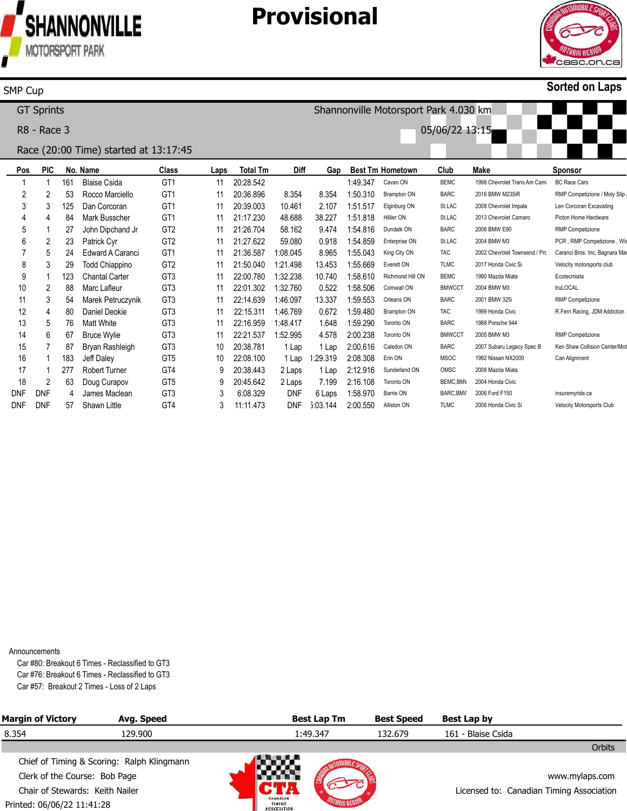

### **Provisional**



#### **Sorted on Laps**

Velocity Motorsports Club

**Pos** 1 2 3 4 5 6 7 8 9 10 11 12 13 14 15 16 17 18 DNF **PIC** 1 2 3 4 1 2 5 3 1 2 3 4 5 6 7 1 1 2 DNF **No. Name** 161 53 125 84 27 23 24 29 123 88 54 80 76 67 87 183 277 63 4 Blaise Csida Rocco Marciello Dan Corcoran Mark Busscher John Dipchand Jr Patrick Cyr Edward A Caranci Todd Chiappino Chantal Carter Marc Lafleur Marek Petruczynik Daniel Deokie Matt White Bruce Wylie Bryan Rashleigh Jeff Daley Robert Turner Doug Curapov James Maclean **Class** GT1 GT1 GT1 GT1 GT2 GT2 GT1 GT2 GT3 GT3 GT3 GT3 GT3 GT3 GT3 GT5 GT4 GT5 GT3 **Laps** 11 11 11 11 11 11 11 11 11 11 11 11 11 11 10 10 9 9 3 **Total Tm** 20:28.542 20:36.896 20:39.003 21:17.230 21:26.704 21:27.622 21:36.587 21:50.040 22:00.780 22:01.302 1:32.760 22:14.639 22:15.311 22:16.959 22:21.537 20:38.781 22:08.100 20:38.443 20:45.642 6:08.329 **Diff** 8.354 10.461 48.688 58.162 59.080 1:08.045 1:21.498 1:32.238 1:46.097 1:46.769 1:48.417 1:52.995 1 Lap 1 Lap 2 Laps 2 Laps DNF **Gap** 8.354 2.107 38.227 9.474 0.918 8.965 13.453 10.740 0.522 13.337 0.672 1.648 4.578 1 Lap 2:00.616 1:29.319 2:08.308 1 Lap 7.199 6 Laps **Best Tm Hometown** 1:49.347 1:50.310 1:51.517 1:51.818 1:54.816 1:54.859 1:55.043 1:55.669 1:58.610 1:58.506 1:59.553 1:59.480 1:59.290 2:00.238 2:12.916 2:16.108 1:58.970 Cavan ON Brampton ON Elginburg ON Hillier ON Dundalk ON Enterprise ON King City ON Everett ON Richmond Hill ON Cornwall ON Orleans ON Brampton ON Toronto ON Toronto ON Caledon ON Erin ON Sunderland ON Toronto ON Barrie ON **Club** BEMC BARC St.LAC St.LAC BARC St.LAC TAC TLMC BEMC BMWCCT BARC TAC BARC BMWCCT BARC MSOC OMSC BEMC, BMV **BARC BMW Make** 1998 Chevrolet Trans Am Cama 2016 BMW M235iR 2008 Chevrolet Impala 2013 Chevrolet Camaro 2006 BMW E90 2004 BMW M3 2002 Chevrolet Townsend / Pro 2017 Honda Civic Si 1990 Mazda Miata 2004 BMW M3 2001 BMW 325i 1999 Honda Civic 1988 Porsche 944 2005 BMW M3 2007 Subaru Legacy Spec B 1992 Nissan NX2000 2008 Mazda Miata 2004 Honda Civic 2006 Ford F150 **Sponsor** BC Race Cars RMP Competizione / Moly Slip Len Corcoran Excavating Picton Home Hardware RMP Competizione PCR, RMP Competizione, Wis Caranci Bros. Inc, Bagnara Ma Velocity motorsports club Ecotecmiata truLOCAL RMP Competizione R.Ferri Racing, JDM Addiction RMP Competizione Ken Shaw Collision Center/Mot Can Alignment insuremyride.ca GT Sprints R8 - Race 3 Race (20:00 Time) started at 13:17:45 Shannonville Motorsport Park 4.030 km 05/06/22 13:15

**Announcements** 

DNF

DNF

57

Shawn Little

GT4

3

11:11.473

DNF

5:03.144

2:00.550

Alliston ON

TLMC

2006 Honda Civic Si

Car #80: Breakout 6 Times - Reclassified to GT3 Car #76: Breakout 6 Times - Reclassified to GT3 Car #57: Breakout 2 Times - Loss of 2 Laps

| <b>Margin of Victory</b>                                         | Avg. Speed                                 |                                          | <b>Best Lap Tm</b> | <b>Best Speed</b> | Best Lap by                              |                |
|------------------------------------------------------------------|--------------------------------------------|------------------------------------------|--------------------|-------------------|------------------------------------------|----------------|
| 8.354                                                            | 129.900                                    | 1:49.347                                 |                    | 132.679           | 161 - Blaise Csida                       |                |
|                                                                  |                                            |                                          |                    |                   |                                          | Orbits         |
|                                                                  | Chief of Timing & Scoring: Ralph Klingmann | a ay a                                   |                    |                   |                                          |                |
| Clerk of the Course: Bob Page<br>Chair of Stewards: Keith Nailer |                                            |                                          |                    |                   |                                          | www.mylaps.com |
|                                                                  |                                            |                                          |                    |                   | Licensed to: Canadian Timing Association |                |
| Printed: 06/06/22 11:41:28                                       |                                            | CANADIAN<br>TIMING<br><b>ASSOCIATION</b> |                    |                   |                                          |                |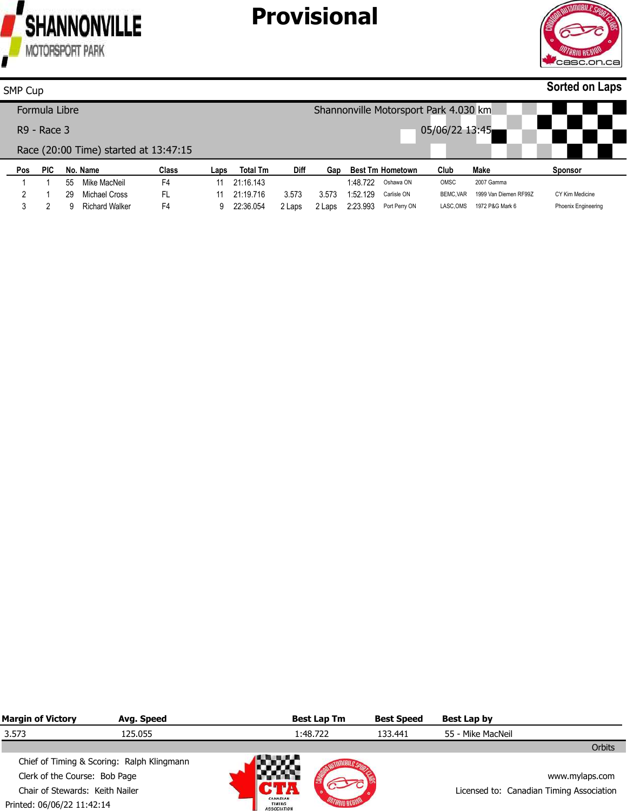



#### **Pos PIC No. Name Class Laps Total Tm Diff Gap Best Tm Hometown Club Make Sponsor Sorted on Laps** SMP Cup Formula Libre R9 - Race 3 Race (20:00 Time) started at 13:47:15 Shannonville Motorsport Park 4.030 km 05/06/22 13:45

|  | 55 | Mike MacNeil     |    | 21:16.143 |        |       | 1:48.722        | Oshawa ON     | OMSC | 2007 Gamma                      |                            |
|--|----|------------------|----|-----------|--------|-------|-----------------|---------------|------|---------------------------------|----------------------------|
|  |    | 29 Michael Cross |    | 21:19.716 | 3.573  | 3.573 | 1:52.129        | Carlisle ON   |      | BEMC, VAR 1999 Van Diemen RF99Z | CY Kim Medicine            |
|  |    | Richard Walker   | F4 | 22:36.054 | 2 Laps |       | 2 Laps 2:23.993 | Port Perry ON |      | LASC, OMS 1972 P&G Mark 6       | <b>Phoenix Engineering</b> |

| <b>Margin of Victory</b>                                         | Avg. Speed                                 |                                          | <b>Best Lap Tm</b> | <b>Best Speed</b> | Best Lap by                              |
|------------------------------------------------------------------|--------------------------------------------|------------------------------------------|--------------------|-------------------|------------------------------------------|
| 3.573                                                            | 125.055                                    |                                          | 1:48.722           | 133.441           | 55 - Mike MacNeil                        |
|                                                                  |                                            |                                          |                    |                   | Orbits                                   |
|                                                                  | Chief of Timing & Scoring: Ralph Klingmann | w                                        |                    |                   |                                          |
| Clerk of the Course: Bob Page<br>Chair of Stewards: Keith Nailer |                                            |                                          |                    |                   | www.mylaps.com                           |
|                                                                  |                                            |                                          |                    |                   | Licensed to: Canadian Timing Association |
| Printed: 06/06/22 11:42:14                                       |                                            | CANADIAN<br>TIMING<br><b>ASSOCIATION</b> |                    |                   |                                          |